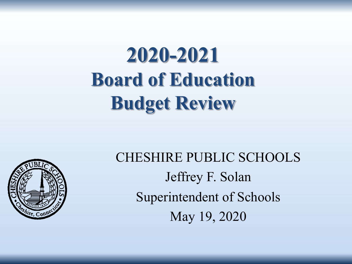# **2020-2021 Board of Education Budget Review**



CHESHIRE PUBLIC SCHOOLS Jeffrey F. Solan Superintendent of Schools May 19, 2020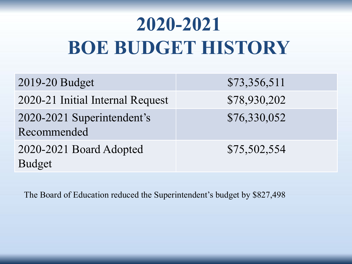# **2020-2021 BOE BUDGET HISTORY**

| 2019-20 Budget                            | \$73,356,511 |
|-------------------------------------------|--------------|
| 2020-21 Initial Internal Request          | \$78,930,202 |
| 2020-2021 Superintendent's<br>Recommended | \$76,330,052 |
| 2020-2021 Board Adopted<br><b>Budget</b>  | \$75,502,554 |

The Board of Education reduced the Superintendent's budget by \$827,498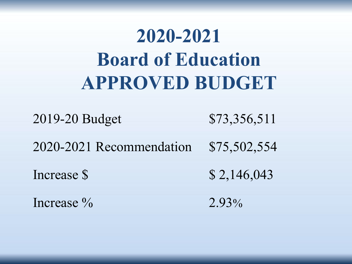## **2020-2021 Board of Education APPROVED BUDGET**

2019-20 Budget \$73,356,511 2020-2021 Recommendation \$75,502,554 Increase \$  $8,146,043$ Increase  $\%$  2.93%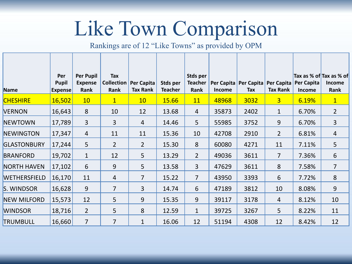# Like Town Comparison

Rankings are of 12 "Like Towns" as provided by OPM

| Name               | Per<br><b>Pupil</b><br><b>Expense</b> | Per Pupil<br><b>Expense</b><br>Rank | Tax<br><b>Collection</b><br>Rank | Per Capita<br><b>Tax Rank</b> | Stds per<br><b>Teacher</b> | <b>Stds per</b><br><b>Teacher</b><br>Rank | Per Capita<br>Income | Tax  | Per Capita Per Capita<br><b>Tax Rank</b> | Per Capita<br><b>Income</b> | Tax as % of Tax as % of<br><b>Income</b><br>Rank |
|--------------------|---------------------------------------|-------------------------------------|----------------------------------|-------------------------------|----------------------------|-------------------------------------------|----------------------|------|------------------------------------------|-----------------------------|--------------------------------------------------|
| <b>CHESHIRE</b>    | 16,502                                | 10                                  | $\mathbf{1}$                     | 10 <sup>°</sup>               | 15.66                      | 11                                        | 48968                | 3032 | $\overline{3}$                           | 6.19%                       | $\vert$ 1                                        |
| <b>VERNON</b>      | 16,643                                | 8                                   | 10                               | 12                            | 13.68                      | $\overline{4}$                            | 35873                | 2402 | $\mathbf{1}$                             | 6.70%                       | $\overline{2}$                                   |
| <b>NEWTOWN</b>     | 17,789                                | 3                                   | 3                                | 4                             | 14.46                      | 5                                         | 55985                | 3752 | $9$                                      | 6.70%                       | $\overline{3}$                                   |
| NEWINGTON          | 17,347                                | 4                                   | 11                               | 11                            | 15.36                      | 10                                        | 42708                | 2910 | $\overline{2}$                           | 6.81%                       | $\overline{4}$                                   |
| GLASTONBURY        | 17,244                                | 5                                   | $\overline{2}$                   | $\overline{2}$                | 15.30                      | 8                                         | 60080                | 4271 | 11                                       | 7.11%                       | 5                                                |
| <b>BRANFORD</b>    | 19,702                                | $\mathbf{1}$                        | 12                               | 5                             | 13.29                      | $\overline{2}$                            | 49036                | 3611 | $\overline{7}$                           | 7.36%                       | 6                                                |
| <b>NORTH HAVEN</b> | 17,102                                | 6                                   | 9                                | 5                             | 13.58                      | $\overline{3}$                            | 47629                | 3611 | 8                                        | 7.58%                       | $\overline{7}$                                   |
| WETHERSFIELD       | 16,170                                | 11                                  | $\overline{4}$                   | $\overline{7}$                | 15.22                      | $\overline{7}$                            | 43950                | 3393 | 6                                        | 7.72%                       | 8                                                |
| S. WINDSOR         | 16,628                                | 9                                   | $\overline{7}$                   | 3                             | 14.74                      | 6                                         | 47189                | 3812 | 10                                       | 8.08%                       | 9                                                |
| <b>NEW MILFORD</b> | 15,573                                | 12                                  | 5                                | 9                             | 15.35                      | 9                                         | 39117                | 3178 | $\overline{4}$                           | 8.12%                       | 10                                               |
| <b>WINDSOR</b>     | 18,716                                | $2^{\circ}$                         | 5                                | 8                             | 12.59                      | $\mathbf{1}$                              | 39725                | 3267 | 5                                        | 8.22%                       | 11                                               |
| TRUMBULL           | 16,660                                | $\overline{7}$                      | $\overline{7}$                   | $\mathbf 1$                   | 16.06                      | 12                                        | 51194                | 4308 | 12                                       | 8.42%                       | 12                                               |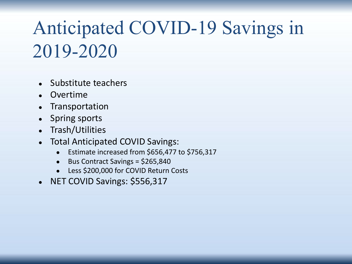### Anticipated COVID-19 Savings in 2019-2020

- Substitute teachers
- **Overtime**
- Transportation
- Spring sports
- Trash/Utilities
- Total Anticipated COVID Savings:
	- Estimate increased from \$656,477 to \$756,317
	- Bus Contract Savings = \$265,840
	- Less \$200,000 for COVID Return Costs
- NET COVID Savings: \$556,317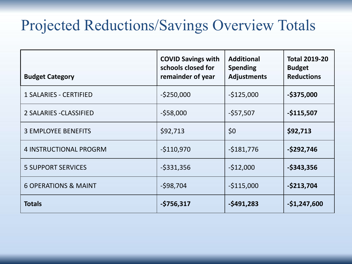#### Projected Reductions/Savings Overview Totals

| <b>Budget Category</b>          | <b>COVID Savings with</b><br>schools closed for<br>remainder of year | <b>Additional</b><br><b>Spending</b><br><b>Adjustments</b> | <b>Total 2019-20</b><br><b>Budget</b><br><b>Reductions</b> |
|---------------------------------|----------------------------------------------------------------------|------------------------------------------------------------|------------------------------------------------------------|
| <b>1 SALARIES - CERTIFIED</b>   | $-5250,000$                                                          | $-$125,000$                                                | $-$ \$375,000                                              |
| 2 SALARIES - CLASSIFIED         | $-558,000$                                                           | $-557,507$                                                 | $-$115,507$                                                |
| <b>3 EMPLOYEE BENEFITS</b>      | \$92,713                                                             | \$0                                                        | \$92,713                                                   |
| <b>4 INSTRUCTIONAL PROGRM</b>   | $-$110,970$                                                          | $-5181,776$                                                | $-$ \$292,746                                              |
| <b>5 SUPPORT SERVICES</b>       | $-5331,356$                                                          | $-512,000$                                                 | $-$ \$343,356                                              |
| <b>6 OPERATIONS &amp; MAINT</b> | $-598,704$                                                           | $-$115,000$                                                | $-5213,704$                                                |
| <b>Totals</b>                   | $-5756,317$                                                          | $-5491,283$                                                | $-$1,247,600$                                              |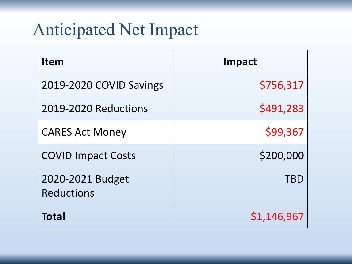### Anticipated Net Impact

| <b>Item</b>                           | Impact      |
|---------------------------------------|-------------|
| 2019-2020 COVID Savings               | \$756,317   |
| 2019-2020 Reductions                  | \$491,283   |
| <b>CARES Act Money</b>                | \$99,367    |
| <b>COVID Impact Costs</b>             | \$200,000   |
| 2020-2021 Budget<br><b>Reductions</b> | TBD         |
| <b>Total</b>                          | \$1,146,967 |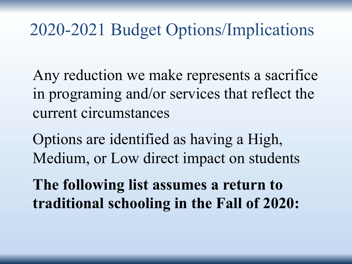#### 2020-2021 Budget Options/Implications

Any reduction we make represents a sacrifice in programing and/or services that reflect the current circumstances

Options are identified as having a High, Medium, or Low direct impact on students

**The following list assumes a return to traditional schooling in the Fall of 2020:**